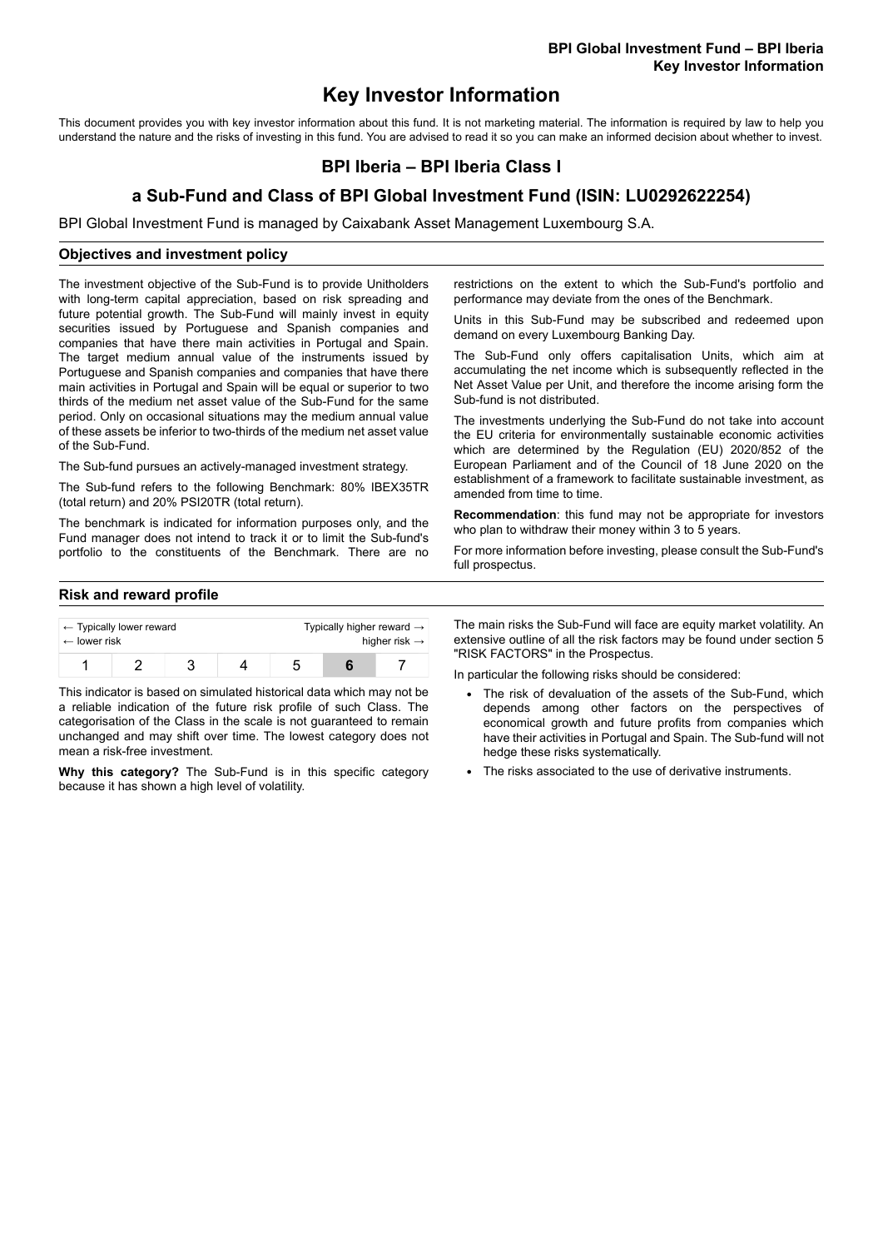# **Key Investor Information**

This document provides you with key investor information about this fund. It is not marketing material. The information is required by law to help you understand the nature and the risks of investing in this fund. You are advised to read it so you can make an informed decision about whether to invest.

### **BPI Iberia – BPI Iberia Class I**

## **a Sub-Fund and Class of BPI Global Investment Fund (ISIN: LU0292622254)**

BPI Global Investment Fund is managed by Caixabank Asset Management Luxembourg S.A.

#### **Objectives and investment policy**

The investment objective of the Sub-Fund is to provide Unitholders with long-term capital appreciation, based on risk spreading and future potential growth. The Sub-Fund will mainly invest in equity securities issued by Portuguese and Spanish companies and companies that have there main activities in Portugal and Spain. The target medium annual value of the instruments issued by Portuguese and Spanish companies and companies that have there main activities in Portugal and Spain will be equal or superior to two thirds of the medium net asset value of the Sub-Fund for the same period. Only on occasional situations may the medium annual value of these assets be inferior to two-thirds of the medium net asset value of the Sub-Fund.

The Sub-fund pursues an actively-managed investment strategy.

The Sub-fund refers to the following Benchmark: 80% IBEX35TR (total return) and 20% PSI20TR (total return).

The benchmark is indicated for information purposes only, and the Fund manager does not intend to track it or to limit the Sub-fund's portfolio to the constituents of the Benchmark. There are no restrictions on the extent to which the Sub-Fund's portfolio and performance may deviate from the ones of the Benchmark.

Units in this Sub-Fund may be subscribed and redeemed upon demand on every Luxembourg Banking Day.

The Sub-Fund only offers capitalisation Units, which aim at accumulating the net income which is subsequently reflected in the Net Asset Value per Unit, and therefore the income arising form the Sub-fund is not distributed.

The investments underlying the Sub-Fund do not take into account the EU criteria for environmentally sustainable economic activities which are determined by the Regulation (EU) 2020/852 of the European Parliament and of the Council of 18 June 2020 on the establishment of a framework to facilitate sustainable investment, as amended from time to time.

**Recommendation**: this fund may not be appropriate for investors who plan to withdraw their money within 3 to 5 years.

For more information before investing, please consult the Sub-Fund's full prospectus.

#### **Risk and reward profile**

| $\leftarrow$ lower risk | $\leftarrow$ Typically lower reward |  | Typically higher reward $\rightarrow$ | higher risk $\rightarrow$ |
|-------------------------|-------------------------------------|--|---------------------------------------|---------------------------|
|                         |                                     |  |                                       |                           |

This indicator is based on simulated historical data which may not be a reliable indication of the future risk profile of such Class. The categorisation of the Class in the scale is not guaranteed to remain unchanged and may shift over time. The lowest category does not mean a risk-free investment.

**Why this category?** The Sub-Fund is in this specific category because it has shown a high level of volatility.

The main risks the Sub-Fund will face are equity market volatility. An extensive outline of all the risk factors may be found under section 5 "RISK FACTORS" in the Prospectus.

In particular the following risks should be considered:

- The risk of devaluation of the assets of the Sub-Fund, which depends among other factors on the perspectives of economical growth and future profits from companies which have their activities in Portugal and Spain. The Sub-fund will not hedge these risks systematically.
- The risks associated to the use of derivative instruments.